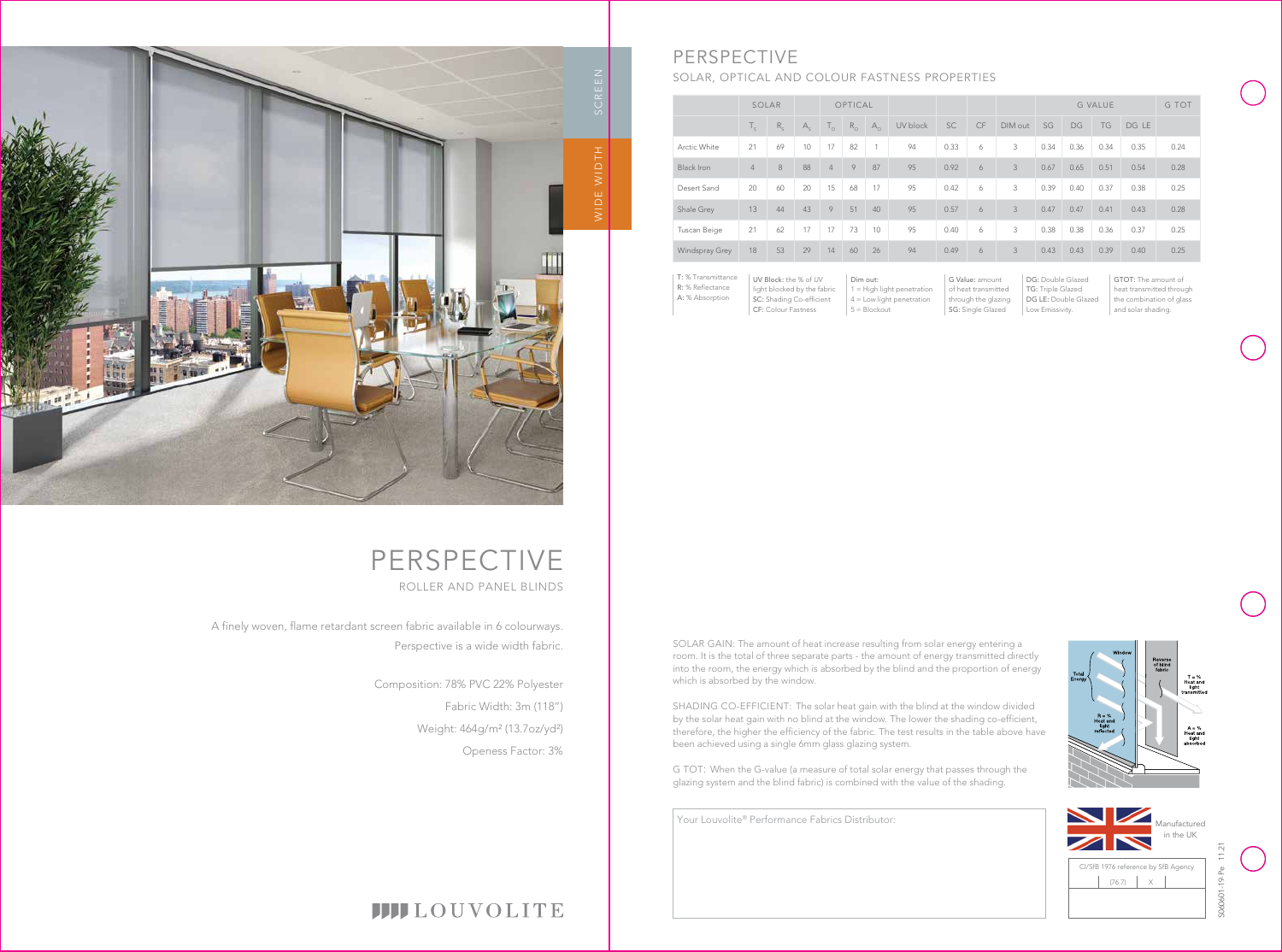Your Louvolite® Performance Fabrics Distributor:

# **IIII**LOUVOLITE

|                   | SOLAR          |         |             | OPTICAL        |             |              |          |      |    | <b>G VALUE</b> |      | G TOT |           |       |      |
|-------------------|----------------|---------|-------------|----------------|-------------|--------------|----------|------|----|----------------|------|-------|-----------|-------|------|
|                   | $T_{\rm c}$    | $R_{c}$ | $A_{\rm c}$ | $T_{\odot}$    | $R_{\odot}$ | $A_{\alpha}$ | UV block | SC   | CF | DIM out        | SG   | DG    | <b>TG</b> | DG LE |      |
| Arctic White      | 21             | 69      | 10          | 17             | 82          | 1            | 94       | 0.33 | 6  | 3              | 0.34 | 0.36  | 0.34      | 0.35  | 0.24 |
| <b>Black Iron</b> | $\overline{4}$ | 8       | 88          | $\overline{4}$ | 9           | 87           | 95       | 0.92 | 6  | 3              | 0.67 | 0.65  | 0.51      | 0.54  | 0.28 |
| Desert Sand       | 20             | 60      | 20          | 15             | 68          | 17           | 95       | 0.42 | 6  | 3              | 0.39 | 0.40  | 0.37      | 0.38  | 0.25 |
| Shale Grey        | 13             | 44      | 43          | 9              | 51          | 40           | 95       | 0.57 | 6  | 3              | 0.47 | 0.47  | 0.41      | 0.43  | 0.28 |
| Tuscan Beige      | 21             | 62      | 17          | 17             | 73          | 10           | 95       | 0.40 | 6  | 3              | 0.38 | 0.38  | 0.36      | 0.37  | 0.25 |
| Windspray Grey    | 18             | 53      | 29          | 14             | 60          | 26           | 94       | 0.49 | 6  | 3              | 0.43 | 0.43  | 0.39      | 0.40  | 0.25 |
|                   |                |         |             |                |             |              |          |      |    |                |      |       |           |       |      |

|      | G TOT |      |       |      |
|------|-------|------|-------|------|
| SG   | DG    | TG   | DG LE |      |
| 0.34 | 0.36  | 0.34 | 0.35  | 0.24 |
| 0.67 | 0.65  | 0.51 | 0.54  | 0.28 |
| 0.39 | 0.40  | 0.37 | 0.38  | 0.25 |
| 0.47 | 0.47  | 0.41 | 0.43  | 0.28 |

DG: Double Glazed TG: Triple Glazed

- DG LE: Double Glazed
- Low Emissivity.







# PERSPECTIVE ROLLER AND PANEL BLINDS

| T: % Transmittance | UV Block: the % of UV       | Dim out:                     | G Value: amount     |
|--------------------|-----------------------------|------------------------------|---------------------|
| R: % Reflectance   | light blocked by the fabric | $1 =$ High light penetration | of heat transmitted |
| A: % Absorption    | SC: Shading Co-efficient    | $4 =$ Low light penetration  | through the glazing |
|                    | <b>CF: Colour Fastness</b>  | $5 = Blockout$               | SG: Single Glazed   |

GTOT: The amount of heat transmitted through the combination of glass and solar shading.



# PERSPECTIVE

# SOLAR, OPTICAL AND COLOUR FASTNESS PROPERTIES

A finely woven, flame retardant screen fabric available in 6 colourways. Perspective is a wide width fabric.



Composition: 78% PVC 22% Polyester Fabric Width: 3m (118") Weight: 464g/m² (13.7oz/yd²) Openess Factor: 3% SOLAR GAIN: The amount of heat increase resulting from solar energy entering a room. It is the total of three separate parts - the amount of energy transmitted directly into the room, the energy which is absorbed by the blind and the proportion of energy which is absorbed by the window.

SHADING CO-EFFICIENT: The solar heat gain with the blind at the window divided by the solar heat gain with no blind at the window. The lower the shading co-efficient, therefore, the higher the efficiency of the fabric. The test results in the table above have been achieved using a single 6mm glass glazing system.

G TOT: When the G-value (a measure of total solar energy that passes through the glazing system and the blind fabric) is combined with the value of the shading.